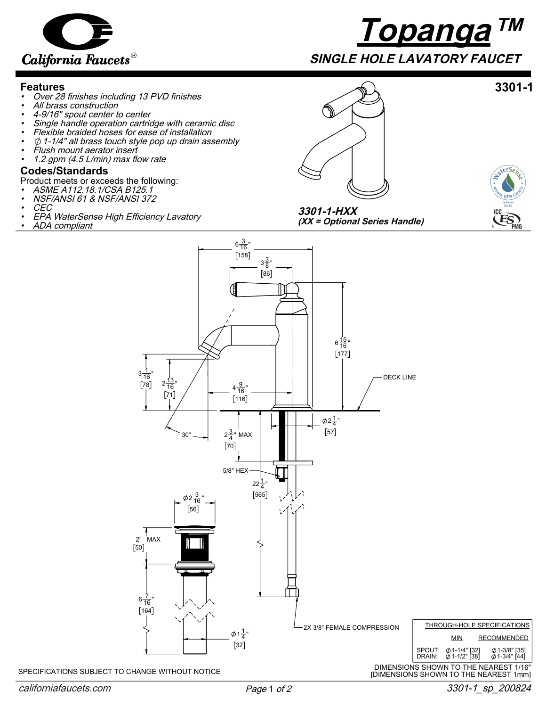

## **Topanga™ SINGLE HOLE LAVATORY FAUCET**

**Features**

- •Over 28 finishes including 13 PVD finishes
- •All brass construction
- •4-9/16" spout center to center
- •Single handle operation cartridge with ceramic disc
- •Flexible braided hoses for ease of installation
- • $\emptyset$  1-1/4" all brass touch style pop up drain assembly
- •Flush mount aerator insert
- •1.2 gpm (4.5 L/min) max flow rate

## **Codes/Standards**

Product meets or exceeds the following:

- •ASME A112.18.1/CSA B125.1
- •NSF/ANSI 61 & NSF/ANSI 372
- •CEC
- •EPA WaterSense High Efficiency Lavatory
- •ADA compliant





**3301-1**

**3301-1-HXX (XX = Optional Series Handle)**